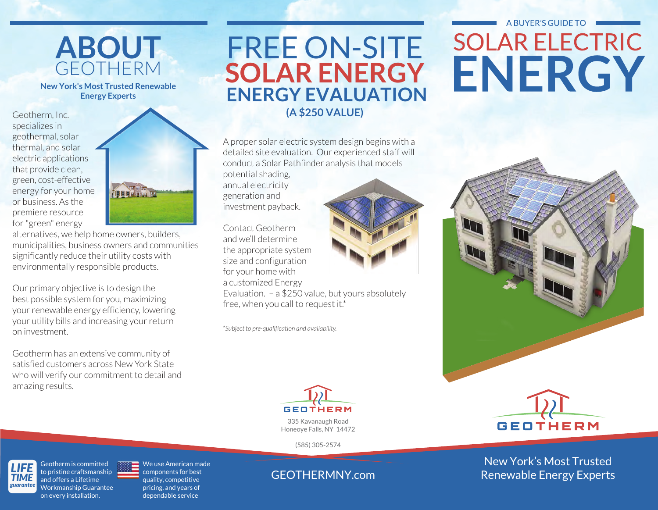

**New York's Most Trusted Renewable Energy Experts**

Geotherm, Inc. specializes in geothermal, solar thermal, and solar electric applications that provide clean, green, cost-effective energy for your home or business. As the premiere resource for "green" energy



alternatives, we help home owners, builders, municipalities, business owners and communities significantly reduce their utility costs with environmentally responsible products.

Our primary objective is to design the best possible system for you, maximizing your renewable energy efficiency, lowering your utility bills and increasing your return on investment.

Geotherm has an extensive community of satisfied customers across New York State who will verify our commitment to detail and amazing results.

## FREE ON-SITE **(A \$250 VALUE) ENERGY EVALUATION SOLAR ENERGY**

A proper solar electric system design begins with a detailed site evaluation. Our experienced staff will conduct a Solar Pathfinder analysis that models potential shading, annual electricity generation and investment payback.

Contact Geotherm and we'll determine the appropriate system size and configuration for your home with a customized Energy

Evaluation. – a \$250 value, but yours absolutely free, when you call to request it.\*

*\*Subject to pre-qualification and availability.*



335 Kavanaugh Road Honeoye Falls, NY 14472

(585) 305-2574

### GEOTHERMNY.com

## A BUYER'S GUIDE TO **SOLAR ELECTRIC** ENERGY





New York's Most Trusted Renewable Energy Experts

*LIFE TIME guarantee* Geotherm is committed to pristine craftsmanship and offers a Lifetime Workmanship Guarantee on every installation.

We use American made components for best quality, competitive pricing, and years of dependable service